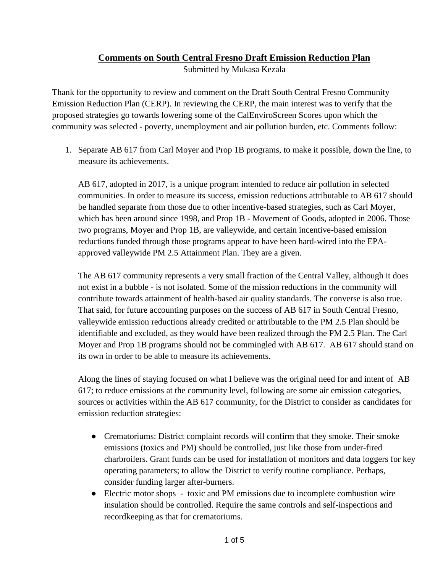## **Comments on South Central Fresno Draft Emission Reduction Plan**

Submitted by Mukasa Kezala

Thank for the opportunity to review and comment on the Draft South Central Fresno Community Emission Reduction Plan (CERP). In reviewing the CERP, the main interest was to verify that the proposed strategies go towards lowering some of the CalEnviroScreen Scores upon which the community was selected - poverty, unemployment and air pollution burden, etc. Comments follow:

1. Separate AB 617 from Carl Moyer and Prop 1B programs, to make it possible, down the line, to measure its achievements.

AB 617, adopted in 2017, is a unique program intended to reduce air pollution in selected communities. In order to measure its success, emission reductions attributable to AB 617 should be handled separate from those due to other incentive-based strategies, such as Carl Moyer, which has been around since 1998, and Prop 1B - Movement of Goods, adopted in 2006. Those two programs, Moyer and Prop 1B, are valleywide, and certain incentive-based emission reductions funded through those programs appear to have been hard-wired into the EPAapproved valleywide PM 2.5 Attainment Plan. They are a given.

The AB 617 community represents a very small fraction of the Central Valley, although it does not exist in a bubble - is not isolated. Some of the mission reductions in the community will contribute towards attainment of health-based air quality standards. The converse is also true. That said, for future accounting purposes on the success of AB 617 in South Central Fresno, valleywide emission reductions already credited or attributable to the PM 2.5 Plan should be identifiable and excluded, as they would have been realized through the PM 2.5 Plan. The Carl Moyer and Prop 1B programs should not be commingled with AB 617. AB 617 should stand on its own in order to be able to measure its achievements.

Along the lines of staying focused on what I believe was the original need for and intent of AB 617; to reduce emissions at the community level, following are some air emission categories, sources or activities within the AB 617 community, for the District to consider as candidates for emission reduction strategies:

- Crematoriums: District complaint records will confirm that they smoke. Their smoke emissions (toxics and PM) should be controlled, just like those from under-fired charbroilers. Grant funds can be used for installation of monitors and data loggers for key operating parameters; to allow the District to verify routine compliance. Perhaps, consider funding larger after-burners.
- Electric motor shops toxic and PM emissions due to incomplete combustion wire insulation should be controlled. Require the same controls and self-inspections and recordkeeping as that for crematoriums.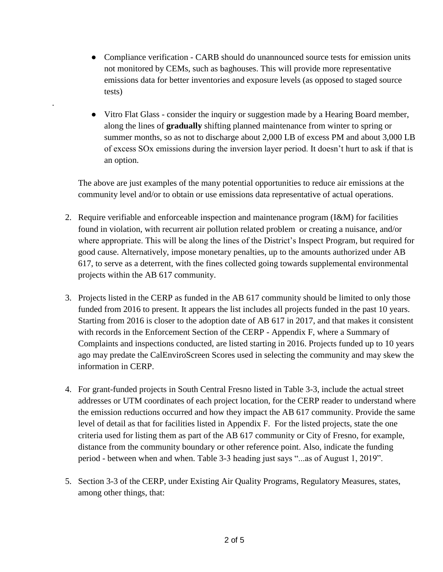• Compliance verification - CARB should do unannounced source tests for emission units not monitored by CEMs, such as baghouses. This will provide more representative emissions data for better inventories and exposure levels (as opposed to staged source tests)

.

• Vitro Flat Glass - consider the inquiry or suggestion made by a Hearing Board member, along the lines of **gradually** shifting planned maintenance from winter to spring or summer months, so as not to discharge about 2,000 LB of excess PM and about 3,000 LB of excess SOx emissions during the inversion layer period. It doesn't hurt to ask if that is an option.

The above are just examples of the many potential opportunities to reduce air emissions at the community level and/or to obtain or use emissions data representative of actual operations.

- 2. Require verifiable and enforceable inspection and maintenance program (I&M) for facilities found in violation, with recurrent air pollution related problem or creating a nuisance, and/or where appropriate. This will be along the lines of the District's Inspect Program, but required for good cause. Alternatively, impose monetary penalties, up to the amounts authorized under AB 617, to serve as a deterrent, with the fines collected going towards supplemental environmental projects within the AB 617 community.
- 3. Projects listed in the CERP as funded in the AB 617 community should be limited to only those funded from 2016 to present. It appears the list includes all projects funded in the past 10 years. Starting from 2016 is closer to the adoption date of AB 617 in 2017, and that makes it consistent with records in the Enforcement Section of the CERP - Appendix F, where a Summary of Complaints and inspections conducted, are listed starting in 2016. Projects funded up to 10 years ago may predate the CalEnviroScreen Scores used in selecting the community and may skew the information in CERP.
- 4. For grant-funded projects in South Central Fresno listed in Table 3-3, include the actual street addresses or UTM coordinates of each project location, for the CERP reader to understand where the emission reductions occurred and how they impact the AB 617 community. Provide the same level of detail as that for facilities listed in Appendix F. For the listed projects, state the one criteria used for listing them as part of the AB 617 community or City of Fresno, for example, distance from the community boundary or other reference point. Also, indicate the funding period - between when and when. Table 3-3 heading just says "...as of August 1, 2019".
- 5. Section 3-3 of the CERP, under Existing Air Quality Programs, Regulatory Measures, states, among other things, that: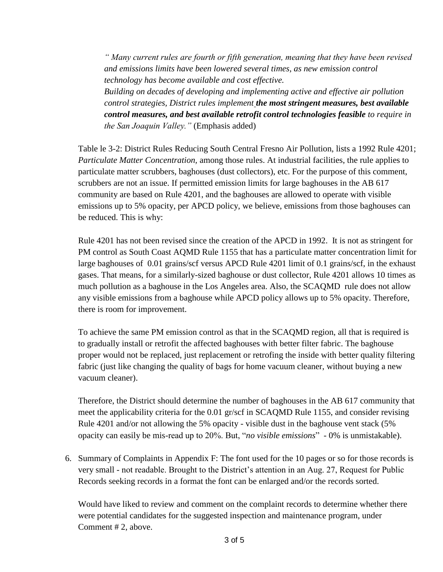*" Many current rules are fourth or fifth generation, meaning that they have been revised and emissions limits have been lowered several times, as new emission control technology has become available and cost effective.* 

*Building on decades of developing and implementing active and effective air pollution control strategies, District rules implement the most stringent measures, best available control measures, and best available retrofit control technologies feasible to require in the San Joaquin Valley."* (Emphasis added)

Table le 3-2: District Rules Reducing South Central Fresno Air Pollution, lists a 1992 Rule 4201; *Particulate Matter Concentration,* among those rules. At industrial facilities, the rule applies to particulate matter scrubbers, baghouses (dust collectors), etc. For the purpose of this comment, scrubbers are not an issue. If permitted emission limits for large baghouses in the AB 617 community are based on Rule 4201, and the baghouses are allowed to operate with visible emissions up to 5% opacity, per APCD policy, we believe, emissions from those baghouses can be reduced. This is why:

Rule 4201 has not been revised since the creation of the APCD in 1992. It is not as stringent for PM control as South Coast AQMD Rule 1155 that has a particulate matter concentration limit for large baghouses of 0.01 grains/scf versus APCD Rule 4201 limit of 0.1 grains/scf, in the exhaust gases. That means, for a similarly-sized baghouse or dust collector, Rule 4201 allows 10 times as much pollution as a baghouse in the Los Angeles area. Also, the SCAQMD rule does not allow any visible emissions from a baghouse while APCD policy allows up to 5% opacity. Therefore, there is room for improvement.

To achieve the same PM emission control as that in the SCAQMD region, all that is required is to gradually install or retrofit the affected baghouses with better filter fabric. The baghouse proper would not be replaced, just replacement or retrofing the inside with better quality filtering fabric (just like changing the quality of bags for home vacuum cleaner, without buying a new vacuum cleaner).

Therefore, the District should determine the number of baghouses in the AB 617 community that meet the applicability criteria for the 0.01 gr/scf in SCAQMD Rule 1155, and consider revising Rule 4201 and/or not allowing the 5% opacity - visible dust in the baghouse vent stack (5% opacity can easily be mis-read up to 20%. But, "*no visible emissions*" - 0% is unmistakable).

6. Summary of Complaints in Appendix F: The font used for the 10 pages or so for those records is very small - not readable. Brought to the District's attention in an Aug. 27, Request for Public Records seeking records in a format the font can be enlarged and/or the records sorted.

Would have liked to review and comment on the complaint records to determine whether there were potential candidates for the suggested inspection and maintenance program, under Comment # 2, above.